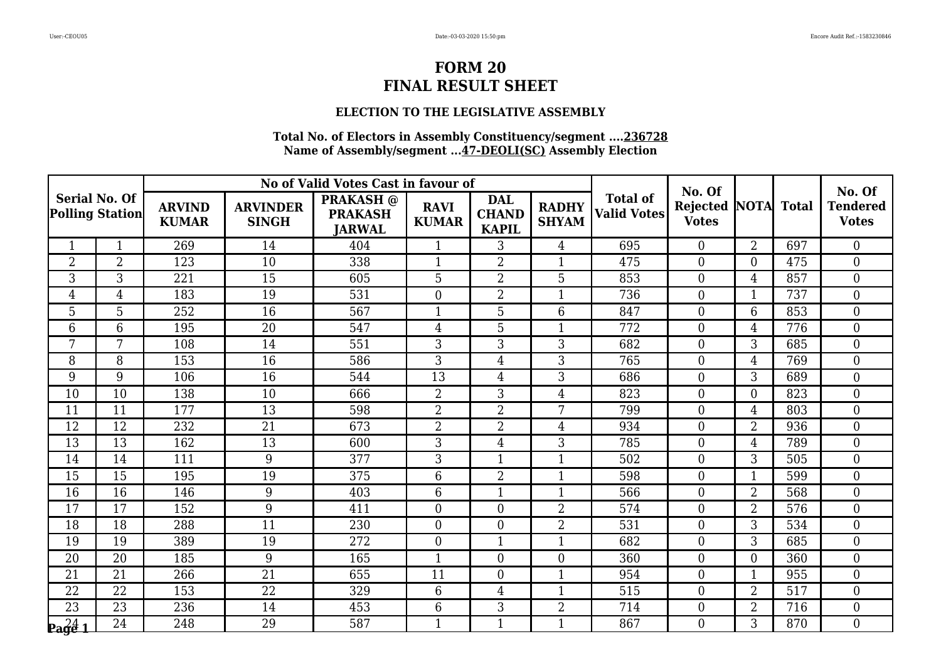### **ELECTION TO THE LEGISLATIVE ASSEMBLY**

|                                                |                |                               |                                 | No of Valid Votes Cast in favour of                 |                             |                                            |                              |                                       | No. Of                                     |                |     | No. Of                          |
|------------------------------------------------|----------------|-------------------------------|---------------------------------|-----------------------------------------------------|-----------------------------|--------------------------------------------|------------------------------|---------------------------------------|--------------------------------------------|----------------|-----|---------------------------------|
| <b>Serial No. Of</b><br><b>Polling Station</b> |                | <b>ARVIND</b><br><b>KUMAR</b> | <b>ARVINDER</b><br><b>SINGH</b> | <b>PRAKASH</b> @<br><b>PRAKASH</b><br><b>JARWAL</b> | <b>RAVI</b><br><b>KUMAR</b> | <b>DAL</b><br><b>CHAND</b><br><b>KAPIL</b> | <b>RADHY</b><br><b>SHYAM</b> | <b>Total of</b><br><b>Valid Votes</b> | <b>Rejected NOTA Total</b><br><b>Votes</b> |                |     | <b>Tendered</b><br><b>Votes</b> |
| $\mathbf{1}$                                   | $\mathbf{1}$   | 269                           | 14                              | 404                                                 | $\mathbf{1}$                | 3                                          | $\overline{4}$               | 695                                   | $\Omega$                                   | $\overline{2}$ | 697 | $\Omega$                        |
| $\overline{2}$                                 | $\overline{2}$ | 123                           | 10                              | 338                                                 | $\mathbf{1}$                | $\overline{2}$                             | $\mathbf{1}$                 | 475                                   | $\overline{0}$                             | $\overline{0}$ | 475 | $\boldsymbol{0}$                |
| 3                                              | $\overline{3}$ | 221                           | 15                              | 605                                                 | $\overline{5}$              | $\overline{2}$                             | $\overline{5}$               | 853                                   | $\boldsymbol{0}$                           | $\overline{4}$ | 857 | $\boldsymbol{0}$                |
| $\overline{4}$                                 | $\overline{4}$ | 183                           | 19                              | 531                                                 | $\boldsymbol{0}$            | $\overline{2}$                             | $\mathbf{1}$                 | 736                                   | $\Omega$                                   | $\mathbf{1}$   | 737 | $\boldsymbol{0}$                |
| 5                                              | 5              | 252                           | $\overline{16}$                 | $\overline{567}$                                    | $\mathbf{1}$                | 5                                          | 6                            | 847                                   | $\overline{0}$                             | 6              | 853 | $\mathbf{0}$                    |
| $6\phantom{1}$                                 | 6              | 195                           | 20                              | 547                                                 | $\overline{4}$              | 5                                          | $\mathbf{1}$                 | 772                                   | $\overline{0}$                             | $\overline{4}$ | 776 | $\boldsymbol{0}$                |
| 7                                              | 7              | 108                           | 14                              | 551                                                 | 3                           | 3                                          | 3                            | 682                                   | $\Omega$                                   | 3              | 685 | $\boldsymbol{0}$                |
| 8                                              | 8              | 153                           | 16                              | 586                                                 | 3                           | 4                                          | 3                            | 765                                   | $\overline{0}$                             | 4              | 769 | $\boldsymbol{0}$                |
| 9                                              | 9              | 106                           | 16                              | 544                                                 | 13                          | 4                                          | 3                            | 686                                   | $\mathbf{0}$                               | 3              | 689 | $\boldsymbol{0}$                |
| 10                                             | 10             | 138                           | 10                              | 666                                                 | $\overline{2}$              | 3                                          | $\overline{4}$               | 823                                   | $\Omega$                                   | $\theta$       | 823 | $\overline{0}$                  |
| 11                                             | 11             | 177                           | 13                              | 598                                                 | $\overline{2}$              | $\overline{2}$                             | 7                            | 799                                   | $\theta$                                   | $\overline{4}$ | 803 | $\boldsymbol{0}$                |
| 12                                             | 12             | 232                           | 21                              | 673                                                 | $\overline{2}$              | $\overline{2}$                             | 4                            | 934                                   | $\overline{0}$                             | $\overline{2}$ | 936 | $\boldsymbol{0}$                |
| 13                                             | 13             | 162                           | 13                              | 600                                                 | 3                           | $\overline{4}$                             | 3                            | 785                                   | $\overline{0}$                             | 4              | 789 | $\boldsymbol{0}$                |
| 14                                             | 14             | 111                           | 9                               | 377                                                 | 3                           | $\overline{1}$                             | $\mathbf{1}$                 | 502                                   | $\overline{0}$                             | 3              | 505 | $\boldsymbol{0}$                |
| 15                                             | 15             | 195                           | 19                              | 375                                                 | 6                           | $\overline{2}$                             | $\mathbf{1}$                 | 598                                   | $\overline{0}$                             | $\mathbf{1}$   | 599 | $\overline{0}$                  |
| 16                                             | 16             | 146                           | 9                               | 403                                                 | 6                           | $\mathbf{1}$                               | $\mathbf{1}$                 | 566                                   | $\overline{0}$                             | $\overline{2}$ | 568 | $\boldsymbol{0}$                |
| 17                                             | 17             | 152                           | 9                               | 411                                                 | $\boldsymbol{0}$            | 0                                          | $\overline{2}$               | 574                                   | $\overline{0}$                             | $\overline{2}$ | 576 | $\boldsymbol{0}$                |
| $\overline{18}$                                | 18             | 288                           | $\overline{11}$                 | 230                                                 | $\overline{0}$              | $\overline{0}$                             | $\overline{2}$               | 531                                   | $\theta$                                   | 3              | 534 | $\overline{0}$                  |
| 19                                             | 19             | 389                           | 19                              | 272                                                 | $\overline{0}$              | $\mathbf{1}$                               | $\mathbf{1}$                 | 682                                   | $\Omega$                                   | 3              | 685 | $\boldsymbol{0}$                |
| 20                                             | 20             | 185                           | 9                               | 165                                                 | $\mathbf{1}$                | 0                                          | $\overline{0}$               | 360                                   | $\overline{0}$                             | $\overline{0}$ | 360 | $\boldsymbol{0}$                |
| 21                                             | 21             | 266                           | 21                              | 655                                                 | 11                          | $\overline{0}$                             | $\mathbf{1}$                 | 954                                   | $\Omega$                                   | $\mathbf{1}$   | 955 | $\overline{0}$                  |
| 22                                             | 22             | 153                           | 22                              | 329                                                 | 6                           | 4                                          | 1                            | 515                                   | $\overline{0}$                             | 2              | 517 | $\boldsymbol{0}$                |
| 23                                             | 23             | 236                           | 14                              | 453                                                 | 6                           | 3                                          | $\overline{2}$               | 714                                   | $\boldsymbol{0}$                           | $\overline{2}$ | 716 | $\mathbf{0}$                    |
| $\frac{24}{2}$                                 | 24             | 248                           | 29                              | 587                                                 | $\mathbf{1}$                | $\mathbf{1}$                               | $\mathbf{1}$                 | 867                                   | $\Omega$                                   | 3              | 870 | $\overline{0}$                  |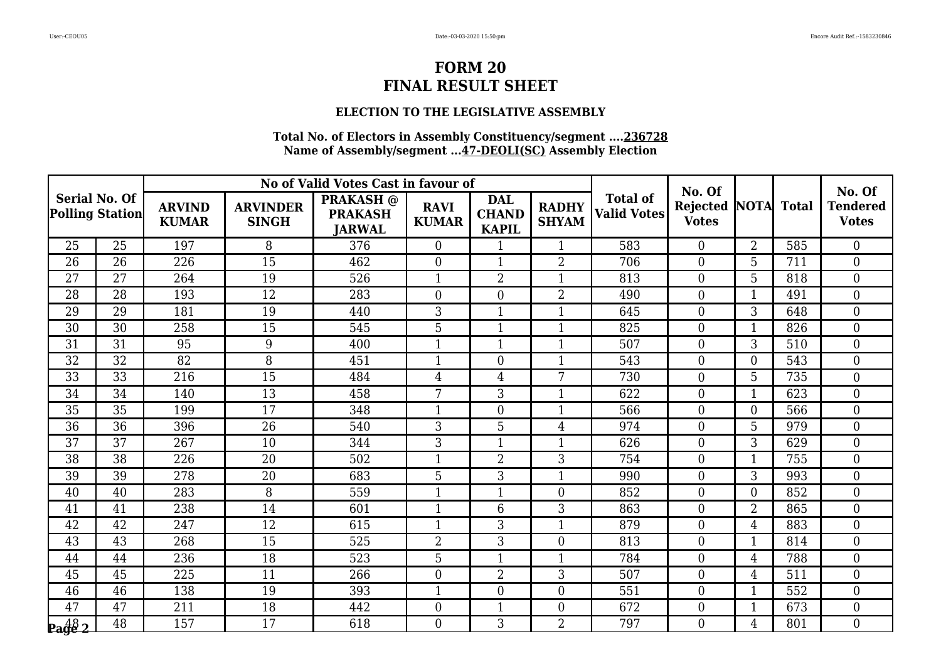### **ELECTION TO THE LEGISLATIVE ASSEMBLY**

|                                                |                 |                               |                                 | No of Valid Votes Cast in favour of                 |                             |                                            |                              |                                       | No. Of                          |                |              | No. Of                          |
|------------------------------------------------|-----------------|-------------------------------|---------------------------------|-----------------------------------------------------|-----------------------------|--------------------------------------------|------------------------------|---------------------------------------|---------------------------------|----------------|--------------|---------------------------------|
| <b>Serial No. Of</b><br><b>Polling Station</b> |                 | <b>ARVIND</b><br><b>KUMAR</b> | <b>ARVINDER</b><br><b>SINGH</b> | <b>PRAKASH</b> @<br><b>PRAKASH</b><br><b>JARWAL</b> | <b>RAVI</b><br><b>KUMAR</b> | <b>DAL</b><br><b>CHAND</b><br><b>KAPIL</b> | <b>RADHY</b><br><b>SHYAM</b> | <b>Total of</b><br><b>Valid Votes</b> | <b>Rejected</b><br><b>Votes</b> | <b>NOTA</b>    | <b>Total</b> | <b>Tendered</b><br><b>Votes</b> |
| 25                                             | 25              | 197                           | 8                               | 376                                                 | $\theta$                    | $\mathbf{1}$                               | $\mathbf{1}$                 | 583                                   | $\Omega$                        | $\overline{2}$ | 585          | $\theta$                        |
| 26                                             | 26              | 226                           | 15                              | 462                                                 | $\boldsymbol{0}$            |                                            | $\overline{2}$               | 706                                   | $\boldsymbol{0}$                | 5              | 711          | $\boldsymbol{0}$                |
| 27                                             | 27              | 264                           | 19                              | 526                                                 | $\mathbf{1}$                | $\overline{2}$                             | $\mathbf{1}$                 | 813                                   | $\boldsymbol{0}$                | 5              | 818          | $\overline{0}$                  |
| 28                                             | 28              | 193                           | 12                              | 283                                                 | $\boldsymbol{0}$            | $\overline{0}$                             | $\overline{2}$               | 490                                   | $\overline{0}$                  | $\mathbf{1}$   | 491          | $\boldsymbol{0}$                |
| 29                                             | 29              | 181                           | 19                              | 440                                                 | 3                           |                                            | $\mathbf{1}$                 | 645                                   | $\overline{0}$                  | 3              | 648          | $\overline{0}$                  |
| 30                                             | 30              | 258                           | 15                              | 545                                                 | 5                           | $\mathbf{1}$                               | $\mathbf{1}$                 | 825                                   | $\boldsymbol{0}$                | $\mathbf{1}$   | 826          | $\overline{0}$                  |
| 31                                             | 31              | 95                            | 9                               | 400                                                 | $\mathbf{1}$                | $\mathbf{1}$                               | $\mathbf{1}$                 | 507                                   | $\theta$                        | 3              | 510          | $\overline{0}$                  |
| 32                                             | 32              | 82                            | 8                               | 451                                                 | $\mathbf{1}$                | $\overline{0}$                             | 1                            | 543                                   | $\theta$                        | $\theta$       | 543          | $\overline{0}$                  |
| 33                                             | 33              | 216                           | 15                              | 484                                                 | $\overline{4}$              | $\overline{4}$                             | 7                            | 730                                   | $\boldsymbol{0}$                | 5              | 735          | $\boldsymbol{0}$                |
| 34                                             | 34              | 140                           | 13                              | 458                                                 | $\overline{7}$              | 3                                          | $\mathbf{1}$                 | 622                                   | $\overline{0}$                  | $\mathbf{1}$   | 623          | $\overline{0}$                  |
| 35                                             | 35              | 199                           | 17                              | 348                                                 | $\mathbf{1}$                | $\theta$                                   | 1                            | 566                                   | $\overline{0}$                  | $\theta$       | 566          | $\overline{0}$                  |
| 36                                             | 36              | 396                           | 26                              | 540                                                 | 3                           | 5                                          | 4                            | 974                                   | $\boldsymbol{0}$                | 5              | 979          | $\boldsymbol{0}$                |
| 37                                             | 37              | 267                           | 10                              | 344                                                 | 3                           | $\mathbf{1}$                               | $\mathbf{1}$                 | 626                                   | $\overline{0}$                  | 3              | 629          | $\boldsymbol{0}$                |
| 38                                             | 38              | 226                           | 20                              | 502                                                 | $\mathbf{1}$                | $\overline{2}$                             | 3                            | 754                                   | $\overline{0}$                  | $\mathbf{1}$   | 755          | $\overline{0}$                  |
| 39                                             | 39              | 278                           | 20                              | 683                                                 | 5                           | 3                                          | $\mathbf{1}$                 | 990                                   | $\overline{0}$                  | 3              | 993          | $\overline{0}$                  |
| 40                                             | 40              | 283                           | 8                               | 559                                                 | $\mathbf{1}$                | $\mathbf{1}$                               | $\overline{0}$               | 852                                   | $\overline{0}$                  | $\overline{0}$ | 852          | $\overline{0}$                  |
| 41                                             | 41              | 238                           | 14                              | 601                                                 | $\mathbf{1}$                | 6                                          | 3                            | 863                                   | $\overline{0}$                  | $\overline{2}$ | 865          | $\boldsymbol{0}$                |
| 42                                             | $\overline{42}$ | 247                           | 12                              | 615                                                 | $\mathbf{1}$                | 3                                          | $\mathbf{1}$                 | 879                                   | $\overline{0}$                  | $\overline{4}$ | 883          | $\overline{0}$                  |
| 43                                             | 43              | 268                           | 15                              | 525                                                 | $\overline{2}$              | 3                                          | $\overline{0}$               | 813                                   | $\overline{0}$                  | 1              | 814          | $\boldsymbol{0}$                |
| 44                                             | 44              | 236                           | 18                              | 523                                                 | 5                           | $\mathbf{1}$                               | $\mathbf{1}$                 | 784                                   | $\overline{0}$                  | 4              | 788          | $\boldsymbol{0}$                |
| 45                                             | 45              | 225                           | 11                              | 266                                                 | $\overline{0}$              | $\overline{2}$                             | 3                            | 507                                   | $\overline{0}$                  | 4              | 511          | $\overline{0}$                  |
| 46                                             | 46              | 138                           | 19                              | 393                                                 | $\mathbf 1$                 | $\overline{0}$                             | $\overline{0}$               | 551                                   | $\theta$                        | 1              | 552          | $\boldsymbol{0}$                |
| 47                                             | 47              | 211                           | 18                              | 442                                                 | $\boldsymbol{0}$            | $\mathbf{1}$                               | $\boldsymbol{0}$             | 672                                   | $\boldsymbol{0}$                | $\mathbf{1}$   | 673          | $\overline{0}$                  |
| $\frac{48}{2}$                                 | 48              | 157                           | 17                              | 618                                                 | $\theta$                    | 3                                          | $\overline{2}$               | 797                                   | $\Omega$                        | $\overline{4}$ | 801          | $\overline{0}$                  |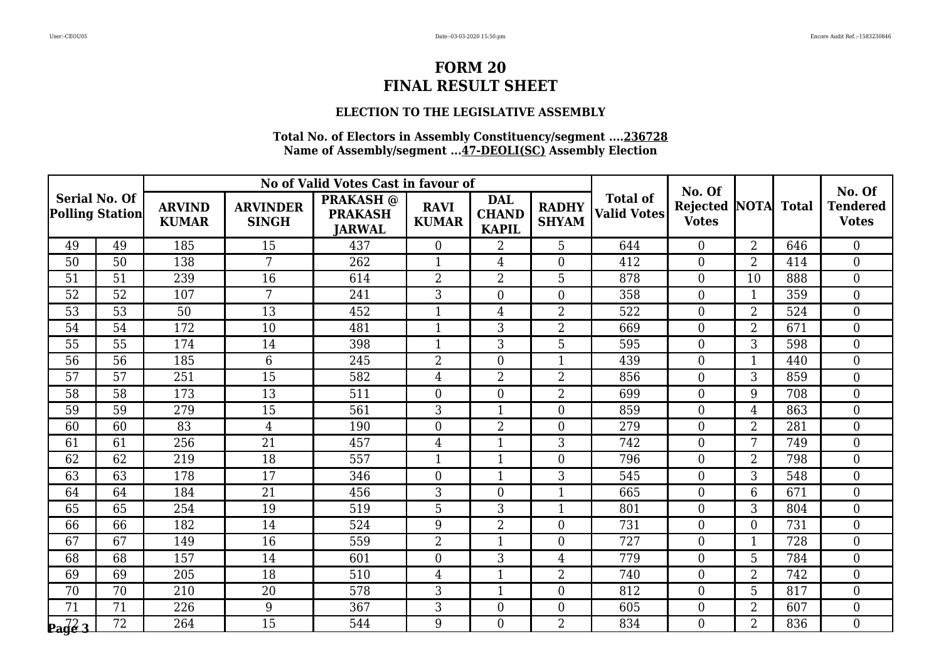### **ELECTION TO THE LEGISLATIVE ASSEMBLY**

|                                                |                 |                               |                                 | No of Valid Votes Cast in favour of                 |                             |                                            |                              |                                       | No. Of                               |                |              | No. Of                          |  |
|------------------------------------------------|-----------------|-------------------------------|---------------------------------|-----------------------------------------------------|-----------------------------|--------------------------------------------|------------------------------|---------------------------------------|--------------------------------------|----------------|--------------|---------------------------------|--|
| <b>Serial No. Of</b><br><b>Polling Station</b> |                 | <b>ARVIND</b><br><b>KUMAR</b> | <b>ARVINDER</b><br><b>SINGH</b> | <b>PRAKASH</b> @<br><b>PRAKASH</b><br><b>JARWAL</b> | <b>RAVI</b><br><b>KUMAR</b> | <b>DAL</b><br><b>CHAND</b><br><b>KAPIL</b> | <b>RADHY</b><br><b>SHYAM</b> | <b>Total of</b><br><b>Valid Votes</b> | <b>Rejected NOTA</b><br><b>Votes</b> |                | <b>Total</b> | <b>Tendered</b><br><b>Votes</b> |  |
| 49                                             | 49              | 185                           | 15                              | 437                                                 | $\overline{0}$              | $\overline{2}$                             | 5                            | 644                                   | $\Omega$                             | $\overline{2}$ | 646          | $\overline{0}$                  |  |
| 50                                             | 50              | 138                           | $7\phantom{.}$                  | 262                                                 | $\mathbf{1}$                | $\overline{4}$                             | $\overline{0}$               | 412                                   | $\boldsymbol{0}$                     | $\overline{2}$ | 414          | $\boldsymbol{0}$                |  |
| 51                                             | 51              | 239                           | 16                              | 614                                                 | $\overline{2}$              | $\overline{2}$                             | 5                            | 878                                   | $\boldsymbol{0}$                     | 10             | 888          | $\boldsymbol{0}$                |  |
| 52                                             | 52              | 107                           | $7\phantom{.}$                  | 241                                                 | 3                           | $\overline{0}$                             | $\overline{0}$               | 358                                   | $\overline{0}$                       | $\mathbf{1}$   | 359          | $\overline{0}$                  |  |
| 53                                             | 53              | 50                            | 13                              | 452                                                 | $\mathbf{1}$                | $\overline{4}$                             | $\overline{2}$               | 522                                   | $\overline{0}$                       | $\overline{2}$ | 524          | $\overline{0}$                  |  |
| 54                                             | 54              | 172                           | 10                              | 481                                                 | $\mathbf{1}$                | 3                                          | $\overline{2}$               | 669                                   | $\boldsymbol{0}$                     | $\overline{2}$ | 671          | $\boldsymbol{0}$                |  |
| 55                                             | 55              | 174                           | 14                              | 398                                                 | $\mathbf{1}$                | 3                                          | 5                            | 595                                   | $\overline{0}$                       | 3              | 598          | $\boldsymbol{0}$                |  |
| 56                                             | $\overline{56}$ | 185                           | 6                               | 245                                                 | $\overline{2}$              | $\Omega$                                   | $\mathbf{1}$                 | 439                                   | $\overline{0}$                       | 1              | 440          | $\overline{0}$                  |  |
| 57                                             | 57              | 251                           | 15                              | 582                                                 | $\overline{4}$              | $\overline{2}$                             | $\overline{2}$               | 856                                   | $\overline{0}$                       | 3              | 859          | $\overline{0}$                  |  |
| 58                                             | 58              | 173                           | 13                              | 511                                                 | $\overline{0}$              | $\overline{0}$                             | $\overline{2}$               | 699                                   | $\overline{0}$                       | 9              | 708          | $\boldsymbol{0}$                |  |
| 59                                             | 59              | 279                           | 15                              | 561                                                 | 3                           | $\mathbf{1}$                               | $\boldsymbol{0}$             | 859                                   | $\boldsymbol{0}$                     | $\overline{4}$ | 863          | $\boldsymbol{0}$                |  |
| 60                                             | 60              | 83                            | $\overline{4}$                  | 190                                                 | $\overline{0}$              | $\overline{2}$                             | $\overline{0}$               | 279                                   | $\overline{0}$                       | $\overline{2}$ | 281          | $\overline{0}$                  |  |
| 61                                             | 61              | 256                           | 21                              | 457                                                 | $\overline{4}$              | $\mathbf{1}$                               | 3                            | 742                                   | $\overline{0}$                       | 7              | 749          | $\overline{0}$                  |  |
| 62                                             | 62              | 219                           | 18                              | 557                                                 | $\mathbf{1}$                | $\mathbf{1}$                               | $\overline{0}$               | 796                                   | $\overline{0}$                       | 2              | 798          | $\boldsymbol{0}$                |  |
| 63                                             | 63              | 178                           | 17                              | 346                                                 | $\boldsymbol{0}$            |                                            | 3                            | 545                                   | $\overline{0}$                       | 3              | 548          | $\overline{0}$                  |  |
| 64                                             | 64              | 184                           | 21                              | 456                                                 | 3                           | $\overline{0}$                             | $\mathbf{1}$                 | 665                                   | $\overline{0}$                       | 6              | 671          | $\mathbf{0}$                    |  |
| 65                                             | 65              | 254                           | 19                              | 519                                                 | 5                           | 3                                          | $\mathbf{1}$                 | 801                                   | $\overline{0}$                       | 3              | 804          | $\boldsymbol{0}$                |  |
| 66                                             | 66              | 182                           | 14                              | 524                                                 | 9                           | $\overline{2}$                             | $\overline{0}$               | 731                                   | $\overline{0}$                       | $\overline{0}$ | 731          | $\overline{0}$                  |  |
| 67                                             | 67              | 149                           | 16                              | 559                                                 | $\overline{2}$              | $\mathbf{1}$                               | $\overline{0}$               | 727                                   | $\boldsymbol{0}$                     | $\mathbf{1}$   | 728          | $\boldsymbol{0}$                |  |
| 68                                             | 68              | 157                           | 14                              | 601                                                 | $\boldsymbol{0}$            | 3                                          | $\overline{4}$               | 779                                   | $\overline{0}$                       | 5              | 784          | $\boldsymbol{0}$                |  |
| 69                                             | 69              | 205                           | 18                              | 510                                                 | $\overline{4}$              | $\mathbf{1}$                               | $\overline{2}$               | 740                                   | $\overline{0}$                       | $\overline{2}$ | 742          | $\overline{0}$                  |  |
| 70                                             | 70              | 210                           | 20                              | 578                                                 | 3                           | 1                                          | $\overline{0}$               | 812                                   | $\theta$                             | 5              | 817          | $\boldsymbol{0}$                |  |
| 71                                             | 71              | 226                           | 9                               | 367                                                 | 3                           | $\boldsymbol{0}$                           | $\boldsymbol{0}$             | 605                                   | $\boldsymbol{0}$                     | $\overline{2}$ | 607          | $\boldsymbol{0}$                |  |
| $\sqrt{\frac{72}{9}}$                          | $\overline{72}$ | 264                           | 15                              | 544                                                 | 9                           | $\Omega$                                   | $\overline{2}$               | 834                                   | $\Omega$                             | $\overline{2}$ | 836          | $\overline{0}$                  |  |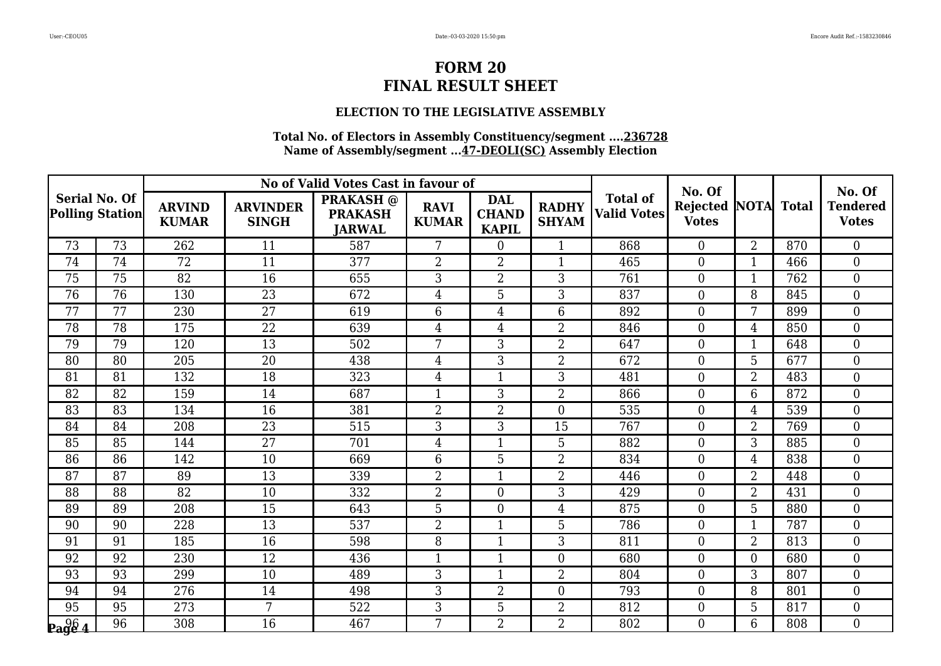### **ELECTION TO THE LEGISLATIVE ASSEMBLY**

|                                                |                 |                               |                                 | No of Valid Votes Cast in favour of                 |                             |                                            |                              |                                       | No. Of                                     |                |     | No. Of                          |
|------------------------------------------------|-----------------|-------------------------------|---------------------------------|-----------------------------------------------------|-----------------------------|--------------------------------------------|------------------------------|---------------------------------------|--------------------------------------------|----------------|-----|---------------------------------|
| <b>Serial No. Of</b><br><b>Polling Station</b> |                 | <b>ARVIND</b><br><b>KUMAR</b> | <b>ARVINDER</b><br><b>SINGH</b> | <b>PRAKASH</b> @<br><b>PRAKASH</b><br><b>JARWAL</b> | <b>RAVI</b><br><b>KUMAR</b> | <b>DAL</b><br><b>CHAND</b><br><b>KAPIL</b> | <b>RADHY</b><br><b>SHYAM</b> | <b>Total of</b><br><b>Valid Votes</b> | <b>Rejected NOTA Total</b><br><b>Votes</b> |                |     | <b>Tendered</b><br><b>Votes</b> |
| 73                                             | 73              | 262                           | 11                              | 587                                                 | 7                           | $\overline{0}$                             | $\mathbf{1}$                 | 868                                   | $\Omega$                                   | $\overline{2}$ | 870 | $\Omega$                        |
| 74                                             | 74              | 72                            | 11                              | 377                                                 | $\overline{2}$              | $\overline{2}$                             | $\mathbf{1}$                 | 465                                   | $\overline{0}$                             | 1              | 466 | $\boldsymbol{0}$                |
| 75                                             | 75              | 82                            | 16                              | 655                                                 | 3                           | $\overline{2}$                             | 3                            | 761                                   | $\boldsymbol{0}$                           | $\mathbf{1}$   | 762 | $\boldsymbol{0}$                |
| 76                                             | 76              | 130                           | 23                              | 672                                                 | $\overline{4}$              | 5                                          | 3                            | 837                                   | $\Omega$                                   | 8              | 845 | $\boldsymbol{0}$                |
| 77                                             | $\overline{77}$ | 230                           | $\overline{27}$                 | 619                                                 | 6                           | 4                                          | 6                            | 892                                   | $\overline{0}$                             | 7              | 899 | $\mathbf{0}$                    |
| 78                                             | 78              | 175                           | 22                              | 639                                                 | $\overline{4}$              | 4                                          | $\overline{2}$               | 846                                   | $\overline{0}$                             | $\overline{4}$ | 850 | $\boldsymbol{0}$                |
| 79                                             | 79              | 120                           | 13                              | 502                                                 | 7                           | 3                                          | $\overline{2}$               | 647                                   | $\Omega$                                   | $\mathbf{1}$   | 648 | $\boldsymbol{0}$                |
| 80                                             | 80              | 205                           | 20                              | 438                                                 | 4                           | 3                                          | $\overline{2}$               | 672                                   | $\overline{0}$                             | 5              | 677 | $\boldsymbol{0}$                |
| 81                                             | 81              | 132                           | 18                              | 323                                                 | $\overline{4}$              | $\mathbf{1}$                               | 3                            | 481                                   | $\boldsymbol{0}$                           | $\overline{2}$ | 483 | $\boldsymbol{0}$                |
| 82                                             | 82              | 159                           | 14                              | 687                                                 | $\mathbf{1}$                | 3                                          | $\overline{2}$               | 866                                   | $\Omega$                                   | 6              | 872 | $\overline{0}$                  |
| 83                                             | 83              | 134                           | 16                              | 381                                                 | $\overline{2}$              | $\overline{2}$                             | $\overline{0}$               | 535                                   | $\theta$                                   | $\overline{4}$ | 539 | $\boldsymbol{0}$                |
| 84                                             | 84              | 208                           | 23                              | 515                                                 | 3                           | 3                                          | 15                           | 767                                   | $\overline{0}$                             | $\overline{2}$ | 769 | $\boldsymbol{0}$                |
| 85                                             | 85              | 144                           | 27                              | 701                                                 | $\overline{4}$              | $\mathbf{1}$                               | 5                            | 882                                   | $\overline{0}$                             | 3              | 885 | $\boldsymbol{0}$                |
| 86                                             | 86              | 142                           | 10                              | 669                                                 | 6                           | 5                                          | $\overline{2}$               | 834                                   | $\overline{0}$                             | $\overline{4}$ | 838 | $\boldsymbol{0}$                |
| 87                                             | 87              | 89                            | 13                              | 339                                                 | $\overline{2}$              | 1                                          | $\overline{2}$               | 446                                   | $\overline{0}$                             | $\overline{2}$ | 448 | $\overline{0}$                  |
| 88                                             | 88              | 82                            | 10                              | 332                                                 | $\overline{2}$              | $\overline{0}$                             | 3                            | 429                                   | $\overline{0}$                             | $\overline{2}$ | 431 | $\boldsymbol{0}$                |
| 89                                             | 89              | 208                           | 15                              | 643                                                 | 5                           | 0                                          | $\overline{4}$               | 875                                   | $\overline{0}$                             | 5              | 880 | $\boldsymbol{0}$                |
| 90                                             | 90              | 228                           | $\overline{13}$                 | 537                                                 | $\overline{2}$              | $\mathbf{1}$                               | 5                            | 786                                   | $\theta$                                   | $\mathbf{1}$   | 787 | $\overline{0}$                  |
| 91                                             | 91              | 185                           | 16                              | 598                                                 | 8                           | $\mathbf{1}$                               | 3                            | 811                                   | $\Omega$                                   | $\overline{2}$ | 813 | $\boldsymbol{0}$                |
| 92                                             | 92              | 230                           | 12                              | 436                                                 | $\mathbf{1}$                | 1                                          | $\overline{0}$               | 680                                   | $\overline{0}$                             | $\overline{0}$ | 680 | $\boldsymbol{0}$                |
| 93                                             | 93              | 299                           | 10                              | 489                                                 | 3                           | $\mathbf{1}$                               | $\overline{2}$               | 804                                   | $\Omega$                                   | 3              | 807 | $\overline{0}$                  |
| 94                                             | 94              | 276                           | 14                              | 498                                                 | 3                           | 2                                          | $\overline{0}$               | 793                                   | $\overline{0}$                             | 8              | 801 | $\boldsymbol{0}$                |
| 95                                             | 95              | 273                           | 7                               | 522                                                 | 3                           | 5                                          | $\overline{2}$               | 812                                   | $\boldsymbol{0}$                           | 5              | 817 | $\mathbf{0}$                    |
| $\log_{4}^{96}$                                | 96              | 308                           | 16                              | 467                                                 | 7                           | $\overline{2}$                             | $\overline{2}$               | 802                                   | $\Omega$                                   | 6              | 808 | $\overline{0}$                  |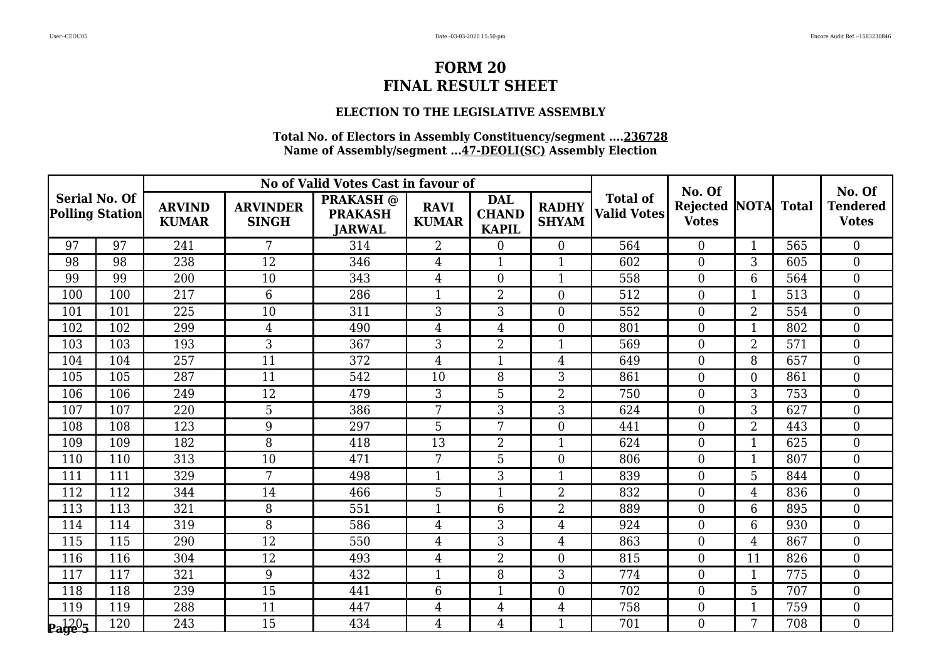### **ELECTION TO THE LEGISLATIVE ASSEMBLY**

|                                                |     |                               |                                 | No of Valid Votes Cast in favour of                 |                             |                                            |                              |                                       | No. Of                                     |                |     | No. Of                          |
|------------------------------------------------|-----|-------------------------------|---------------------------------|-----------------------------------------------------|-----------------------------|--------------------------------------------|------------------------------|---------------------------------------|--------------------------------------------|----------------|-----|---------------------------------|
| <b>Serial No. Of</b><br><b>Polling Station</b> |     | <b>ARVIND</b><br><b>KUMAR</b> | <b>ARVINDER</b><br><b>SINGH</b> | <b>PRAKASH</b> @<br><b>PRAKASH</b><br><b>JARWAL</b> | <b>RAVI</b><br><b>KUMAR</b> | <b>DAL</b><br><b>CHAND</b><br><b>KAPIL</b> | <b>RADHY</b><br><b>SHYAM</b> | <b>Total of</b><br><b>Valid Votes</b> | <b>Rejected NOTA Total</b><br><b>Votes</b> |                |     | <b>Tendered</b><br><b>Votes</b> |
| 97                                             | 97  | 241                           | 7                               | 314                                                 | $\overline{2}$              | $\overline{0}$                             | $\Omega$                     | 564                                   | $\Omega$                                   | $\mathbf{1}$   | 565 | $\overline{0}$                  |
| 98                                             | 98  | 238                           | 12                              | 346                                                 | $\overline{4}$              |                                            | $\mathbf{1}$                 | 602                                   | $\overline{0}$                             | 3              | 605 | $\boldsymbol{0}$                |
| 99                                             | 99  | 200                           | 10                              | 343                                                 | $\overline{4}$              | $\boldsymbol{0}$                           | $\mathbf{1}$                 | 558                                   | $\mathbf{0}$                               | 6              | 564 | $\boldsymbol{0}$                |
| 100                                            | 100 | 217                           | 6                               | 286                                                 | $\mathbf{1}$                | $\overline{2}$                             | $\overline{0}$               | 512                                   | $\overline{0}$                             | $\mathbf{1}$   | 513 | $\overline{0}$                  |
| 101                                            | 101 | 225                           | 10                              | 311                                                 | 3                           | 3                                          | $\overline{0}$               | 552                                   | $\theta$                                   | $\overline{2}$ | 554 | $\overline{0}$                  |
| 102                                            | 102 | 299                           | 4                               | 490                                                 | $\overline{4}$              | 4                                          | $\boldsymbol{0}$             | 801                                   | $\overline{0}$                             | $\mathbf{1}$   | 802 | $\boldsymbol{0}$                |
| 103                                            | 103 | 193                           | 3                               | 367                                                 | 3                           | $\overline{2}$                             | $\mathbf{1}$                 | 569                                   | $\overline{0}$                             | $\overline{2}$ | 571 | $\boldsymbol{0}$                |
| 104                                            | 104 | 257                           | 11                              | 372                                                 | $\overline{4}$              | 1                                          | $\overline{4}$               | 649                                   | $\Omega$                                   | 8              | 657 | $\overline{0}$                  |
| 105                                            | 105 | 287                           | 11                              | 542                                                 | 10                          | 8                                          | 3                            | 861                                   | $\overline{0}$                             | $\overline{0}$ | 861 | $\boldsymbol{0}$                |
| 106                                            | 106 | 249                           | 12                              | 479                                                 | 3                           | 5                                          | $\overline{2}$               | 750                                   | $\overline{0}$                             | 3              | 753 | $\boldsymbol{0}$                |
| 107                                            | 107 | 220                           | 5                               | 386                                                 | 7                           | 3                                          | 3                            | 624                                   | $\overline{0}$                             | 3              | 627 | $\boldsymbol{0}$                |
| 108                                            | 108 | 123                           | 9                               | 297                                                 | 5                           | 7                                          | $\theta$                     | 441                                   | $\overline{0}$                             | $\overline{2}$ | 443 | $\overline{0}$                  |
| 109                                            | 109 | 182                           | 8                               | 418                                                 | 13                          | $\overline{2}$                             | $\mathbf 1$                  | 624                                   | $\overline{0}$                             | 1              | 625 | $\boldsymbol{0}$                |
| 110                                            | 110 | 313                           | 10                              | 471                                                 | 7                           | 5                                          | $\overline{0}$               | 806                                   | $\theta$                                   | $\mathbf{1}$   | 807 | $\boldsymbol{0}$                |
| 111                                            | 111 | 329                           | 7                               | 498                                                 | $\mathbf{1}$                | 3                                          | $\mathbf{1}$                 | 839                                   | $\overline{0}$                             | 5              | 844 | $\boldsymbol{0}$                |
| 112                                            | 112 | 344                           | 14                              | 466                                                 | 5                           | 1                                          | $\overline{2}$               | 832                                   | $\overline{0}$                             | 4              | 836 | $\boldsymbol{0}$                |
| 113                                            | 113 | 321                           | 8                               | 551                                                 | $\mathbf{1}$                | 6                                          | $\overline{2}$               | 889                                   | $\overline{0}$                             | 6              | 895 | $\boldsymbol{0}$                |
| 114                                            | 114 | 319                           | 8                               | 586                                                 | $\overline{4}$              | 3                                          | $\overline{4}$               | 924                                   | $\theta$                                   | 6              | 930 | $\overline{0}$                  |
| 115                                            | 115 | 290                           | 12                              | 550                                                 | $\overline{4}$              | 3                                          | $\overline{4}$               | 863                                   | $\overline{0}$                             | $\overline{4}$ | 867 | $\boldsymbol{0}$                |
| 116                                            | 116 | 304                           | 12                              | 493                                                 | $\overline{4}$              | $\overline{2}$                             | $\overline{0}$               | 815                                   | $\overline{0}$                             | 11             | 826 | $\boldsymbol{0}$                |
| 117                                            | 117 | 321                           | 9                               | 432                                                 | $\mathbf{1}$                | 8                                          | 3                            | 774                                   | $\theta$                                   | $\mathbf{1}$   | 775 | $\overline{0}$                  |
| 118                                            | 118 | 239                           | 15                              | 441                                                 | 6                           | 1                                          | $\overline{0}$               | 702                                   | $\theta$                                   | 5              | 707 | $\boldsymbol{0}$                |
| 119                                            | 119 | 288                           | 11                              | 447                                                 | $\overline{4}$              | $\overline{4}$                             | $\overline{4}$               | 758                                   | $\mathbf{0}$                               | $\mathbf{1}$   | 759 | $\boldsymbol{0}$                |
| $\mathbf{p_1}^{120}$                           | 120 | 243                           | 15                              | 434                                                 | $\overline{4}$              | $\overline{4}$                             | $\mathbf{1}$                 | 701                                   | $\Omega$                                   | 7              | 708 | $\overline{0}$                  |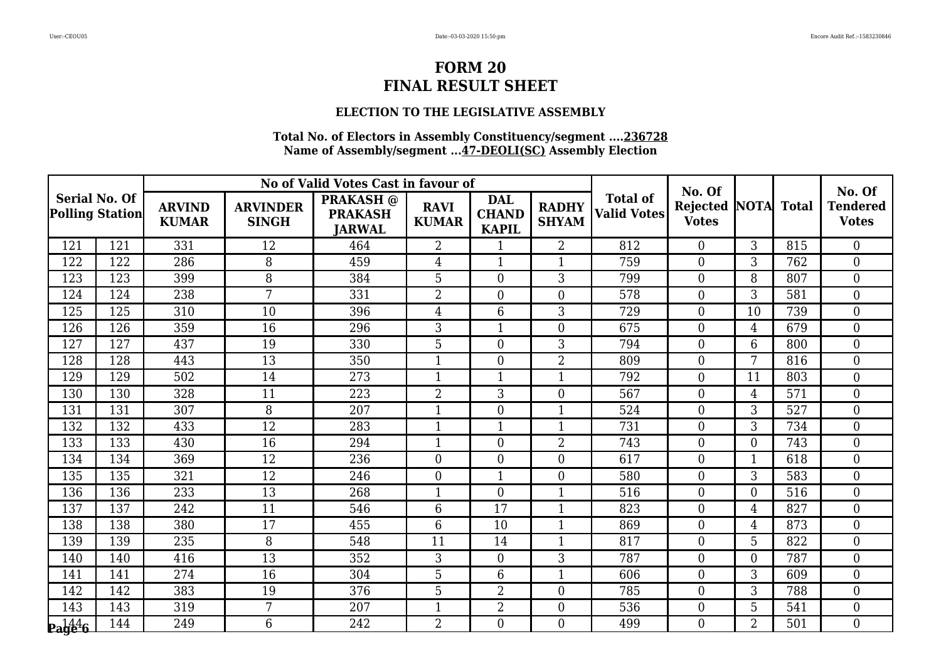### **ELECTION TO THE LEGISLATIVE ASSEMBLY**

|                                                |     |                               |                                 | No of Valid Votes Cast in favour of                 |                             |                                            |                              |                                       | No. Of                                     |                |     | No. Of                          |
|------------------------------------------------|-----|-------------------------------|---------------------------------|-----------------------------------------------------|-----------------------------|--------------------------------------------|------------------------------|---------------------------------------|--------------------------------------------|----------------|-----|---------------------------------|
| <b>Serial No. Of</b><br><b>Polling Station</b> |     | <b>ARVIND</b><br><b>KUMAR</b> | <b>ARVINDER</b><br><b>SINGH</b> | <b>PRAKASH</b> @<br><b>PRAKASH</b><br><b>JARWAL</b> | <b>RAVI</b><br><b>KUMAR</b> | <b>DAL</b><br><b>CHAND</b><br><b>KAPIL</b> | <b>RADHY</b><br><b>SHYAM</b> | <b>Total of</b><br><b>Valid Votes</b> | <b>Rejected NOTA Total</b><br><b>Votes</b> |                |     | <b>Tendered</b><br><b>Votes</b> |
| 121                                            | 121 | 331                           | 12                              | 464                                                 | $\overline{2}$              | $\mathbf{1}$                               | $\overline{2}$               | 812                                   | $\Omega$                                   | 3              | 815 | $\overline{0}$                  |
| 122                                            | 122 | 286                           | 8                               | 459                                                 | $\overline{4}$              |                                            | 1                            | 759                                   | $\overline{0}$                             | 3              | 762 | $\boldsymbol{0}$                |
| 123                                            | 123 | 399                           | 8                               | 384                                                 | 5                           | $\overline{0}$                             | 3                            | 799                                   | $\boldsymbol{0}$                           | 8              | 807 | $\boldsymbol{0}$                |
| 124                                            | 124 | 238                           | 7                               | 331                                                 | $\overline{2}$              | $\overline{0}$                             | $\Omega$                     | 578                                   | $\overline{0}$                             | 3              | 581 | $\overline{0}$                  |
| 125                                            | 125 | 310                           | 10                              | 396                                                 | $\overline{4}$              | 6                                          | 3                            | 729                                   | $\theta$                                   | 10             | 739 | $\overline{0}$                  |
| 126                                            | 126 | 359                           | 16                              | 296                                                 | 3                           | 1                                          | $\boldsymbol{0}$             | 675                                   | $\boldsymbol{0}$                           | $\overline{4}$ | 679 | $\boldsymbol{0}$                |
| 127                                            | 127 | 437                           | 19                              | 330                                                 | 5                           | $\overline{0}$                             | 3                            | 794                                   | $\overline{0}$                             | 6              | 800 | $\boldsymbol{0}$                |
| 128                                            | 128 | 443                           | 13                              | 350                                                 | $\mathbf{1}$                | $\overline{0}$                             | $\overline{2}$               | 809                                   | $\theta$                                   | 7              | 816 | $\overline{0}$                  |
| 129                                            | 129 | 502                           | 14                              | 273                                                 | $\mathbf{1}$                | 1                                          | $\mathbf{1}$                 | 792                                   | $\overline{0}$                             | 11             | 803 | $\overline{0}$                  |
| 130                                            | 130 | 328                           | 11                              | 223                                                 | $\overline{2}$              | 3                                          | $\overline{0}$               | 567                                   | $\overline{0}$                             | $\overline{4}$ | 571 | $\boldsymbol{0}$                |
| 131                                            | 131 | 307                           | 8                               | 207                                                 | $\mathbf{1}$                | $\overline{0}$                             | 1                            | 524                                   | $\overline{0}$                             | 3              | 527 | $\boldsymbol{0}$                |
| 132                                            | 132 | 433                           | 12                              | 283                                                 | $\mathbf{1}$                |                                            | $\mathbf{1}$                 | 731                                   | $\overline{0}$                             | 3              | 734 | $\overline{0}$                  |
| 133                                            | 133 | 430                           | 16                              | 294                                                 | $\mathbf{1}$                | $\overline{0}$                             | $\overline{2}$               | 743                                   | $\overline{0}$                             | $\theta$       | 743 | $\boldsymbol{0}$                |
| 134                                            | 134 | 369                           | 12                              | 236                                                 | $\boldsymbol{0}$            | $\overline{0}$                             | $\overline{0}$               | 617                                   | $\overline{0}$                             | $\mathbf{1}$   | 618 | $\boldsymbol{0}$                |
| 135                                            | 135 | 321                           | 12                              | 246                                                 | $\mathbf{0}$                | $\mathbf{1}$                               | $\overline{0}$               | 580                                   | $\overline{0}$                             | 3              | 583 | $\boldsymbol{0}$                |
| 136                                            | 136 | 233                           | 13                              | 268                                                 | $\mathbf 1$                 | $\overline{0}$                             | 1                            | 516                                   | $\overline{0}$                             | $\theta$       | 516 | $\boldsymbol{0}$                |
| 137                                            | 137 | 242                           | 11                              | 546                                                 | 6                           | 17                                         | $\mathbf{1}$                 | 823                                   | $\overline{0}$                             | $\overline{4}$ | 827 | $\boldsymbol{0}$                |
| 138                                            | 138 | 380                           | $\overline{17}$                 | 455                                                 | $6\phantom{1}6$             | 10                                         | $\mathbf{1}$                 | 869                                   | $\theta$                                   | $\overline{4}$ | 873 | $\overline{0}$                  |
| 139                                            | 139 | 235                           | 8                               | 548                                                 | 11                          | 14                                         | 1                            | 817                                   | $\overline{0}$                             | 5              | 822 | $\boldsymbol{0}$                |
| 140                                            | 140 | 416                           | 13                              | 352                                                 | 3                           | $\overline{0}$                             | 3                            | 787                                   | $\overline{0}$                             | $\overline{0}$ | 787 | $\boldsymbol{0}$                |
| 141                                            | 141 | 274                           | 16                              | 304                                                 | 5                           | 6                                          | 1                            | 606                                   | $\theta$                                   | 3              | 609 | $\overline{0}$                  |
| 142                                            | 142 | 383                           | 19                              | 376                                                 | 5                           | $\overline{2}$                             | $\overline{0}$               | 785                                   | $\overline{0}$                             | 3              | 788 | $\boldsymbol{0}$                |
| 143                                            | 143 | 319                           | 7                               | 207                                                 | $\mathbf{1}$                | $\overline{2}$                             | $\boldsymbol{0}$             | 536                                   | $\boldsymbol{0}$                           | 5              | 541 | $\boldsymbol{0}$                |
| $\mathbf{p_1}^{144}_{96}$                      | 144 | 249                           | 6                               | 242                                                 | $\overline{2}$              | $\Omega$                                   | $\theta$                     | 499                                   | $\Omega$                                   | $\overline{2}$ | 501 | $\overline{0}$                  |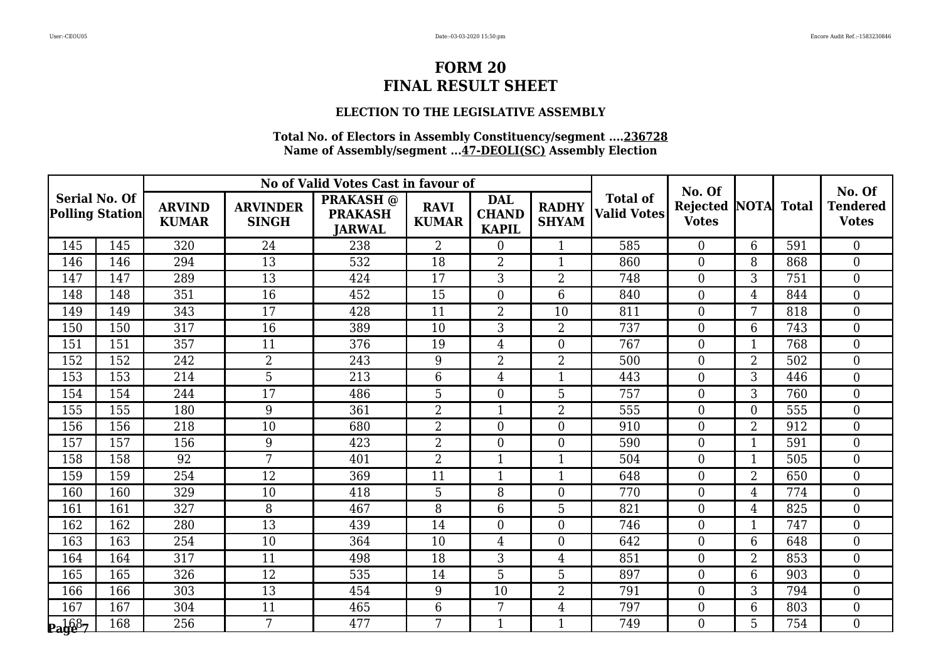### **ELECTION TO THE LEGISLATIVE ASSEMBLY**

|                                                |     |                               |                                 | No of Valid Votes Cast in favour of                 |                             |                                            |                              |                                       | No. Of                   |                |              | No. Of                          |
|------------------------------------------------|-----|-------------------------------|---------------------------------|-----------------------------------------------------|-----------------------------|--------------------------------------------|------------------------------|---------------------------------------|--------------------------|----------------|--------------|---------------------------------|
| <b>Serial No. Of</b><br><b>Polling Station</b> |     | <b>ARVIND</b><br><b>KUMAR</b> | <b>ARVINDER</b><br><b>SINGH</b> | <b>PRAKASH</b> @<br><b>PRAKASH</b><br><b>JARWAL</b> | <b>RAVI</b><br><b>KUMAR</b> | <b>DAL</b><br><b>CHAND</b><br><b>KAPIL</b> | <b>RADHY</b><br><b>SHYAM</b> | <b>Total of</b><br><b>Valid Votes</b> | Rejected<br><b>Votes</b> | <b>NOTA</b>    | <b>Total</b> | <b>Tendered</b><br><b>Votes</b> |
| 145                                            | 145 | 320                           | 24                              | 238                                                 | $\overline{2}$              | $\overline{0}$                             | $\mathbf{1}$                 | 585                                   | $\theta$                 | 6              | 591          | $\theta$                        |
| 146                                            | 146 | 294                           | 13                              | 532                                                 | 18                          | $\overline{2}$                             | $\mathbf{1}$                 | 860                                   | $\overline{0}$           | 8              | 868          | $\overline{0}$                  |
| 147                                            | 147 | 289                           | 13                              | 424                                                 | 17                          | 3                                          | $\overline{2}$               | 748                                   | $\boldsymbol{0}$         | 3              | 751          | $\overline{0}$                  |
| 148                                            | 148 | 351                           | 16                              | 452                                                 | 15                          | $\overline{0}$                             | 6                            | 840                                   | $\overline{0}$           | 4              | 844          | $\boldsymbol{0}$                |
| 149                                            | 149 | 343                           | 17                              | 428                                                 | 11                          | $\overline{2}$                             | 10                           | 811                                   | $\overline{0}$           | 7              | 818          | $\overline{0}$                  |
| 150                                            | 150 | 317                           | 16                              | 389                                                 | 10                          | 3                                          | $\overline{2}$               | 737                                   | $\mathbf{0}$             | 6              | 743          | $\overline{0}$                  |
| 151                                            | 151 | 357                           | 11                              | 376                                                 | 19                          | $\overline{4}$                             | $\theta$                     | 767                                   | $\theta$                 | $\mathbf{1}$   | 768          | $\overline{0}$                  |
| 152                                            | 152 | 242                           | $\overline{2}$                  | 243                                                 | 9                           | $\overline{2}$                             | $\overline{2}$               | 500                                   | $\boldsymbol{0}$         | 2              | 502          | $\overline{0}$                  |
| 153                                            | 153 | 214                           | 5                               | 213                                                 | 6                           | $\overline{4}$                             | $\mathbf{1}$                 | 443                                   | $\mathbf{0}$             | 3              | 446          | $\boldsymbol{0}$                |
| 154                                            | 154 | 244                           | $\overline{17}$                 | 486                                                 | 5                           | $\overline{0}$                             | 5                            | 757                                   | $\theta$                 | 3              | 760          | $\overline{0}$                  |
| 155                                            | 155 | 180                           | 9                               | 361                                                 | $\overline{2}$              |                                            | $\overline{2}$               | 555                                   | $\overline{0}$           | $\overline{0}$ | 555          | $\overline{0}$                  |
| 156                                            | 156 | 218                           | 10                              | 680                                                 | $\overline{2}$              | $\boldsymbol{0}$                           | $\boldsymbol{0}$             | 910                                   | $\mathbf{0}$             | $\overline{2}$ | 912          | $\boldsymbol{0}$                |
| 157                                            | 157 | 156                           | 9                               | 423                                                 | $\overline{2}$              | $\overline{0}$                             | $\overline{0}$               | 590                                   | $\overline{0}$           | $\mathbf{1}$   | 591          | $\overline{0}$                  |
| 158                                            | 158 | 92                            | 7                               | 401                                                 | $\overline{2}$              | $\mathbf{1}$                               | $\mathbf{1}$                 | 504                                   | $\overline{0}$           | $\mathbf{1}$   | 505          | $\overline{0}$                  |
| 159                                            | 159 | 254                           | 12                              | 369                                                 | 11                          |                                            | $\mathbf{1}$                 | 648                                   | $\overline{0}$           | $\overline{2}$ | 650          | $\overline{0}$                  |
| 160                                            | 160 | 329                           | 10                              | 418                                                 | 5                           | 8                                          | $\overline{0}$               | 770                                   | $\overline{0}$           | 4              | 774          | $\overline{0}$                  |
| 161                                            | 161 | 327                           | 8                               | 467                                                 | 8                           | 6                                          | 5                            | 821                                   | $\overline{0}$           | 4              | 825          | $\boldsymbol{0}$                |
| 162                                            | 162 | 280                           | 13                              | 439                                                 | 14                          | $\overline{0}$                             | $\overline{0}$               | 746                                   | $\overline{0}$           | $\mathbf{1}$   | 747          | $\overline{0}$                  |
| 163                                            | 163 | 254                           | 10                              | 364                                                 | 10                          | $\overline{4}$                             | $\overline{0}$               | 642                                   | $\overline{0}$           | 6              | 648          | $\overline{0}$                  |
| 164                                            | 164 | 317                           | 11                              | 498                                                 | 18                          | 3                                          | 4                            | 851                                   | $\overline{0}$           | 2              | 853          | $\boldsymbol{0}$                |
| 165                                            | 165 | 326                           | 12                              | 535                                                 | 14                          | 5                                          | 5                            | 897                                   | $\overline{0}$           | 6              | 903          | $\overline{0}$                  |
| 166                                            | 166 | 303                           | 13                              | 454                                                 | 9                           | 10                                         | $\overline{2}$               | 791                                   | $\overline{0}$           | 3              | 794          | $\boldsymbol{0}$                |
| 167                                            | 167 | 304                           | 11                              | 465                                                 | $6\phantom{1}6$             | 7                                          | $\overline{4}$               | 797                                   | $\boldsymbol{0}$         | 6              | 803          | $\overline{0}$                  |
| $_{\rm{Page-7}}$                               | 168 | 256                           | 7                               | 477                                                 | 7                           | $\mathbf{1}$                               | $\mathbf{1}$                 | 749                                   | $\Omega$                 | 5              | 754          | $\overline{0}$                  |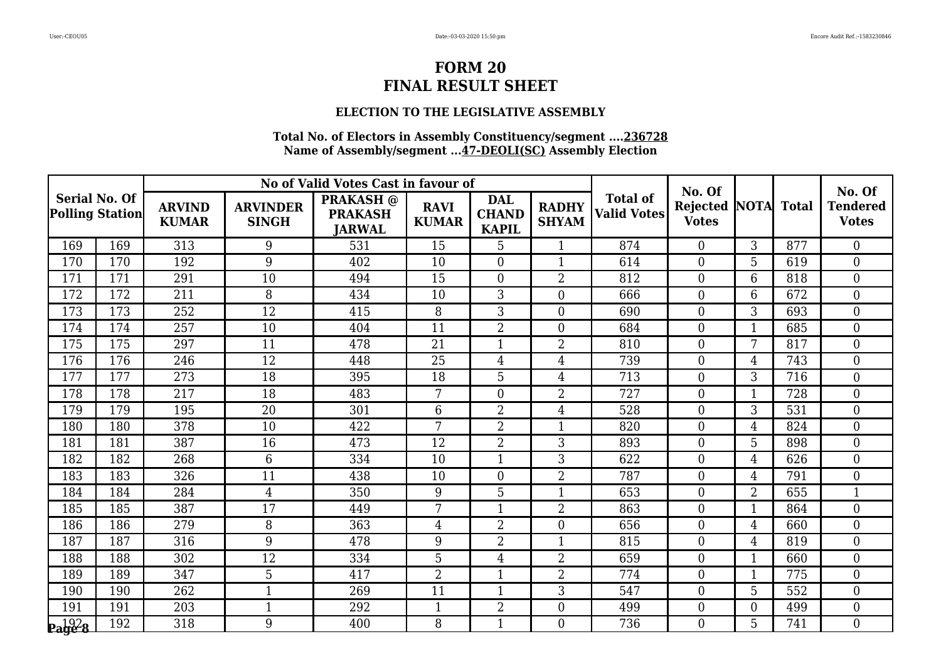### **ELECTION TO THE LEGISLATIVE ASSEMBLY**

|                                                |     |                               |                                 | No of Valid Votes Cast in favour of                 |                             |                                            |                              |                                       | No. Of                          |                  |              | No. Of                          |
|------------------------------------------------|-----|-------------------------------|---------------------------------|-----------------------------------------------------|-----------------------------|--------------------------------------------|------------------------------|---------------------------------------|---------------------------------|------------------|--------------|---------------------------------|
| <b>Serial No. Of</b><br><b>Polling Station</b> |     | <b>ARVIND</b><br><b>KUMAR</b> | <b>ARVINDER</b><br><b>SINGH</b> | <b>PRAKASH</b> @<br><b>PRAKASH</b><br><b>JARWAL</b> | <b>RAVI</b><br><b>KUMAR</b> | <b>DAL</b><br><b>CHAND</b><br><b>KAPIL</b> | <b>RADHY</b><br><b>SHYAM</b> | <b>Total of</b><br><b>Valid Votes</b> | <b>Rejected</b><br><b>Votes</b> | NOTA             | <b>Total</b> | <b>Tendered</b><br><b>Votes</b> |
| 169                                            | 169 | 313                           | 9                               | 531                                                 | 15                          | 5                                          | 1                            | 874                                   | $\Omega$                        | 3                | 877          | $\theta$                        |
| 170                                            | 170 | 192                           | 9                               | 402                                                 | 10                          | $\overline{0}$                             | 1                            | 614                                   | $\overline{0}$                  | 5                | 619          | $\boldsymbol{0}$                |
| 171                                            | 171 | 291                           | 10                              | 494                                                 | 15                          | $\overline{0}$                             | $\overline{2}$               | 812                                   | $\boldsymbol{0}$                | 6                | 818          | $\boldsymbol{0}$                |
| 172                                            | 172 | 211                           | 8                               | 434                                                 | 10                          | 3                                          | $\overline{0}$               | 666                                   | $\theta$                        | 6                | 672          | $\boldsymbol{0}$                |
| 173                                            | 173 | 252                           | $\overline{12}$                 | 415                                                 | 8                           | 3                                          | $\overline{0}$               | 690                                   | $\overline{0}$                  | 3                | 693          | $\overline{0}$                  |
| 174                                            | 174 | 257                           | 10                              | 404                                                 | 11                          | $\overline{2}$                             | $\overline{0}$               | 684                                   | $\overline{0}$                  | 1                | 685          | $\boldsymbol{0}$                |
| 175                                            | 175 | 297                           | 11                              | 478                                                 | 21                          | $\mathbf{1}$                               | $\overline{2}$               | 810                                   | $\theta$                        | 7                | 817          | $\boldsymbol{0}$                |
| 176                                            | 176 | 246                           | 12                              | 448                                                 | 25                          | $\overline{4}$                             | $\overline{4}$               | 739                                   | $\overline{0}$                  | 4                | 743          | $\boldsymbol{0}$                |
| 177                                            | 177 | 273                           | 18                              | 395                                                 | 18                          | 5                                          | 4                            | $\overline{713}$                      | $\mathbf{0}$                    | 3                | 716          | $\boldsymbol{0}$                |
| $17\overline{8}$                               | 178 | 217                           | 18                              | 483                                                 | 7                           | $\Omega$                                   | $\overline{2}$               | 727                                   | $\Omega$                        | 1                | 728          | $\overline{0}$                  |
| 179                                            | 179 | 195                           | 20                              | 301                                                 | 6                           | $\overline{2}$                             | $\overline{4}$               | 528                                   | $\theta$                        | 3                | 531          | $\boldsymbol{0}$                |
| 180                                            | 180 | 378                           | 10                              | 422                                                 | 7                           | $\overline{2}$                             | $\mathbf{1}$                 | 820                                   | $\overline{0}$                  | $\overline{4}$   | 824          | $\boldsymbol{0}$                |
| 181                                            | 181 | 387                           | 16                              | 473                                                 | 12                          | $\overline{2}$                             | 3                            | 893                                   | $\overline{0}$                  | 5                | 898          | $\boldsymbol{0}$                |
| 182                                            | 182 | 268                           | 6                               | 334                                                 | 10                          | $\mathbf{1}$                               | 3                            | 622                                   | $\overline{0}$                  | $\overline{4}$   | 626          | $\overline{0}$                  |
| 183                                            | 183 | 326                           | 11                              | 438                                                 | 10                          | $\overline{0}$                             | $\overline{2}$               | 787                                   | $\overline{0}$                  | 4                | 791          | $\overline{0}$                  |
| 184                                            | 184 | 284                           | $\overline{4}$                  | 350                                                 | 9                           | 5                                          | 1                            | 653                                   | $\overline{0}$                  | $\overline{2}$   | 655          | $\mathbf{1}$                    |
| 185                                            | 185 | 387                           | 17                              | 449                                                 | 7                           | $\mathbf{1}$                               | $\overline{2}$               | 863                                   | $\overline{0}$                  | 1                | 864          | $\boldsymbol{0}$                |
| 186                                            | 186 | 279                           | 8                               | 363                                                 | $\overline{4}$              | $\overline{2}$                             | $\overline{0}$               | 656                                   | $\theta$                        | $\overline{4}$   | 660          | $\overline{0}$                  |
| 187                                            | 187 | 316                           | 9                               | 478                                                 | 9                           | $\overline{2}$                             | 1                            | 815                                   | $\theta$                        | $\overline{4}$   | 819          | $\overline{0}$                  |
| 188                                            | 188 | 302                           | 12                              | 334                                                 | 5                           | $\overline{4}$                             | $\overline{2}$               | 659                                   | $\overline{0}$                  | 1                | 660          | $\boldsymbol{0}$                |
| 189                                            | 189 | 347                           | 5                               | 417                                                 | $\overline{2}$              | 1                                          | $\overline{2}$               | 774                                   | $\theta$                        | $\mathbf{1}$     | 775          | $\overline{0}$                  |
| 190                                            | 190 | 262                           | $\mathbf 1$                     | 269                                                 | 11                          | 1                                          | 3                            | 547                                   | $\overline{0}$                  | 5                | 552          | $\boldsymbol{0}$                |
| 191                                            | 191 | 203                           | $\mathbf{1}$                    | 292                                                 | $\mathbf{1}$                | $\overline{2}$                             | $\boldsymbol{0}$             | 499                                   | $\boldsymbol{0}$                | $\boldsymbol{0}$ | 499          | $\boldsymbol{0}$                |
| $\mathbf{p}_\mathbf{a}$ ge 8                   | 192 | 318                           | 9                               | 400                                                 | 8                           | $\mathbf{1}$                               | $\Omega$                     | 736                                   | $\Omega$                        | 5                | 741          | $\overline{0}$                  |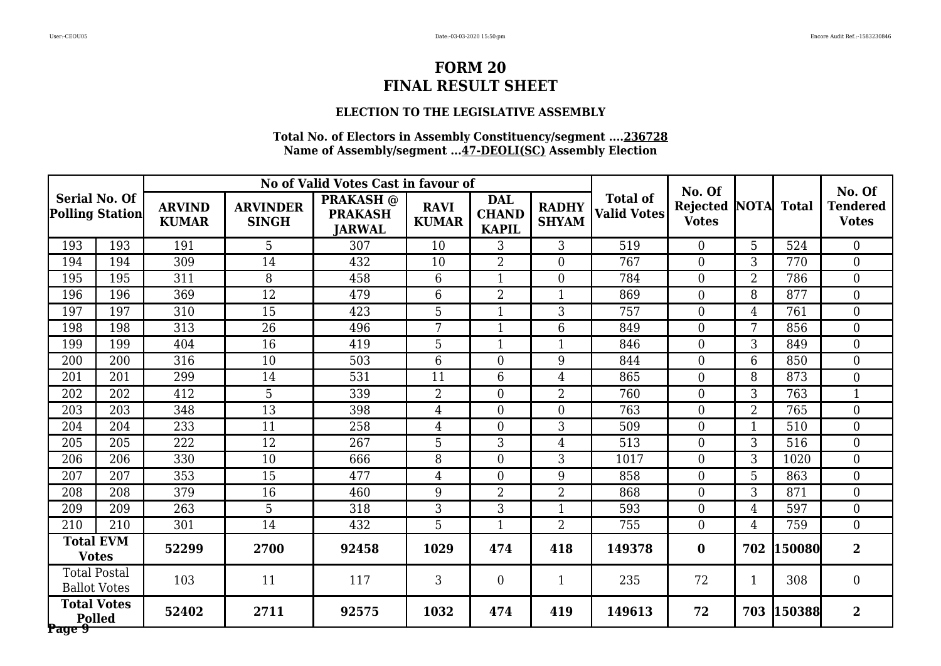### **ELECTION TO THE LEGISLATIVE ASSEMBLY**

|        |                                                |                               |                                 | No of Valid Votes Cast in favour of                 |                             |                                            |                              |                                       | No. Of                          |                |              | No. Of                          |
|--------|------------------------------------------------|-------------------------------|---------------------------------|-----------------------------------------------------|-----------------------------|--------------------------------------------|------------------------------|---------------------------------------|---------------------------------|----------------|--------------|---------------------------------|
|        | <b>Serial No. Of</b><br><b>Polling Station</b> | <b>ARVIND</b><br><b>KUMAR</b> | <b>ARVINDER</b><br><b>SINGH</b> | <b>PRAKASH</b> @<br><b>PRAKASH</b><br><b>JARWAL</b> | <b>RAVI</b><br><b>KUMAR</b> | <b>DAL</b><br><b>CHAND</b><br><b>KAPIL</b> | <b>RADHY</b><br><b>SHYAM</b> | <b>Total of</b><br><b>Valid Votes</b> | <b>Rejected</b><br><b>Votes</b> | NOTA           | <b>Total</b> | <b>Tendered</b><br><b>Votes</b> |
| 193    | 193                                            | 191                           | 5                               | 307                                                 | 10                          | 3                                          | 3                            | 519                                   | $\theta$                        | 5              | 524          | $\overline{0}$                  |
| 194    | 194                                            | 309                           | 14                              | 432                                                 | 10                          | $\overline{2}$                             | $\overline{0}$               | 767                                   | $\overline{0}$                  | 3              | 770          | $\overline{0}$                  |
| 195    | 195                                            | 311                           | $\overline{8}$                  | 458                                                 | $6\phantom{1}$              |                                            | $\overline{0}$               | 784                                   | $\overline{0}$                  | $\overline{2}$ | 786          | $\mathbf{0}$                    |
| 196    | 196                                            | 369                           | $\overline{12}$                 | 479                                                 | 6                           | $\overline{2}$                             | $\mathbf{1}$                 | 869                                   | $\theta$                        | 8              | 877          | $\overline{0}$                  |
| 197    | 197                                            | 310                           | 15                              | 423                                                 | 5                           |                                            | 3                            | 757                                   | $\overline{0}$                  | $\overline{4}$ | 761          | $\boldsymbol{0}$                |
| 198    | 198                                            | 313                           | 26                              | 496                                                 | 7                           | 1                                          | 6                            | 849                                   | $\boldsymbol{0}$                | 7              | 856          | $\boldsymbol{0}$                |
| 199    | 199                                            | 404                           | 16                              | 419                                                 | 5                           | $\mathbf{1}$                               | $\mathbf{1}$                 | 846                                   | $\overline{0}$                  | 3              | 849          | $\boldsymbol{0}$                |
| 200    | 200                                            | 316                           | 10                              | 503                                                 | 6                           | $\theta$                                   | 9                            | 844                                   | $\overline{0}$                  | 6              | 850          | $\boldsymbol{0}$                |
| 201    | 201                                            | 299                           | 14                              | 531                                                 | 11                          | 6                                          | 4                            | 865                                   | $\boldsymbol{0}$                | 8              | 873          | $\mathbf{0}$                    |
| 202    | 202                                            | 412                           | 5                               | 339                                                 | $\overline{2}$              | $\overline{0}$                             | $\overline{2}$               | 760                                   | $\overline{0}$                  | 3              | 763          | $\mathbf{1}$                    |
| 203    | 203                                            | 348                           | 13                              | 398                                                 | $\overline{4}$              | $\Omega$                                   | $\overline{0}$               | 763                                   | $\overline{0}$                  | $\overline{2}$ | 765          | $\boldsymbol{0}$                |
| 204    | 204                                            | 233                           | 11                              | 258                                                 | $\overline{4}$              | $\overline{0}$                             | $\overline{3}$               | 509                                   | $\theta$                        | 1              | 510          | $\overline{0}$                  |
| 205    | 205                                            | 222                           | 12                              | 267                                                 | 5                           | 3                                          | 4                            | 513                                   | $\overline{0}$                  | 3              | 516          | $\boldsymbol{0}$                |
| 206    | 206                                            | 330                           | 10                              | 666                                                 | 8                           | $\overline{0}$                             | 3                            | 1017                                  | $\boldsymbol{0}$                | 3              | 1020         | $\boldsymbol{0}$                |
| 207    | 207                                            | 353                           | 15                              | 477                                                 | $\overline{4}$              | $\overline{0}$                             | 9                            | 858                                   | $\theta$                        | 5              | 863          | $\overline{0}$                  |
| 208    | 208                                            | 379                           | 16                              | 460                                                 | 9                           | $\overline{2}$                             | $\overline{2}$               | 868                                   | $\overline{0}$                  | 3              | 871          | $\overline{0}$                  |
| 209    | 209                                            | 263                           | $\overline{5}$                  | 318                                                 | $\overline{3}$              | 3                                          | $\mathbf{1}$                 | 593                                   | $\mathbf{0}$                    | $\overline{4}$ | 597          | $\mathbf{0}$                    |
| 210    | 210                                            | 301                           | 14                              | 432                                                 | 5                           | $\mathbf{1}$                               | $\overline{2}$               | 755                                   | $\Omega$                        | $\overline{4}$ | 759          | $\theta$                        |
|        | <b>Total EVM</b><br><b>Votes</b>               | 52299                         | 2700                            | 92458                                               | 1029                        | 474                                        | 418                          | 149378                                | $\bf{0}$                        | 702            | 150080       | $\overline{2}$                  |
|        | <b>Total Postal</b><br><b>Ballot Votes</b>     | 103                           | 11                              | 117                                                 | 3                           | $\overline{0}$                             | $\mathbf{1}$                 | 235                                   | 72                              | 1              | 308          | $\boldsymbol{0}$                |
| Page 9 | <b>Total Votes</b><br><b>Polled</b>            | 52402                         | 2711                            | 92575                                               | 1032                        | 474                                        | 419                          | 149613                                | 72                              | 703            | 150388       | $\overline{\mathbf{2}}$         |